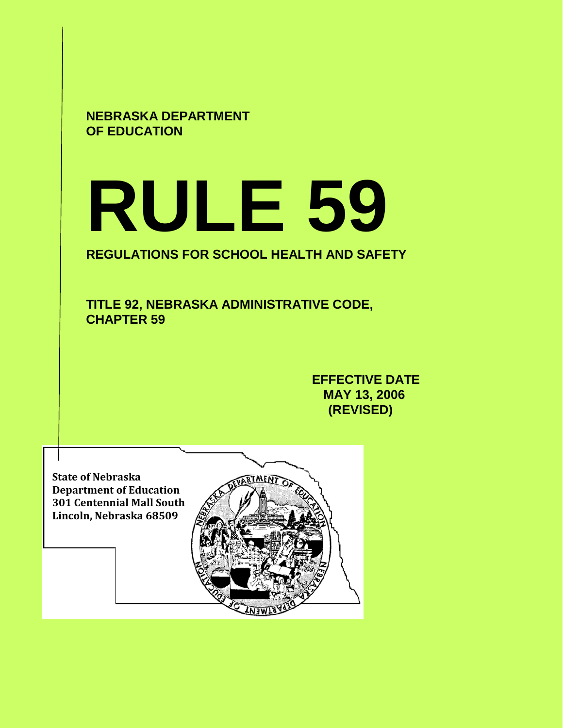**NEBRASKA DEPARTMENT OF EDUCATION**

# **RULE 59**

# **REGULATIONS FOR SCHOOL HEALTH AND SAFETY**

**TITLE 92, NEBRASKA ADMINISTRATIVE CODE, CHAPTER 59**

> **EFFECTIVE DATE MAY 13, 2006 (REVISED)**

**State of Nebraska Department of Education 301 Centennial Mall South Lincoln, Nebraska 68509**

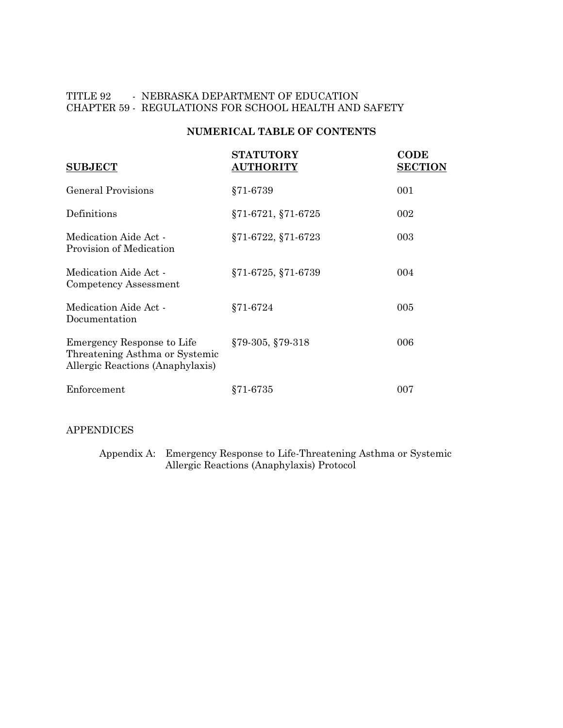# TITLE 92 - NEBRASKA DEPARTMENT OF EDUCATION CHAPTER 59 - REGULATIONS FOR SCHOOL HEALTH AND SAFETY

# **NUMERICAL TABLE OF CONTENTS**

| <b>SUBJECT</b>                                                                                   | <b>STATUTORY</b><br><b>AUTHORITY</b> | <b>CODE</b><br><b>SECTION</b> |
|--------------------------------------------------------------------------------------------------|--------------------------------------|-------------------------------|
| <b>General Provisions</b>                                                                        | $§71-6739$                           | 001                           |
| Definitions                                                                                      | §71-6721, §71-6725                   | 002                           |
| Medication Aide Act -<br>Provision of Medication                                                 | §71-6722, §71-6723                   | 003                           |
| Medication Aide Act -<br>Competency Assessment                                                   | $\S71-6725, \S71-6739$               | 004                           |
| Medication Aide Act -<br>Documentation                                                           | §71-6724                             | 005                           |
| Emergency Response to Life<br>Threatening Asthma or Systemic<br>Allergic Reactions (Anaphylaxis) | $§79-305, §79-318$                   | 006                           |
| Enforcement                                                                                      | §71-6735                             | 007                           |

## APPENDICES

Appendix A: Emergency Response to Life-Threatening Asthma or Systemic Allergic Reactions (Anaphylaxis) Protocol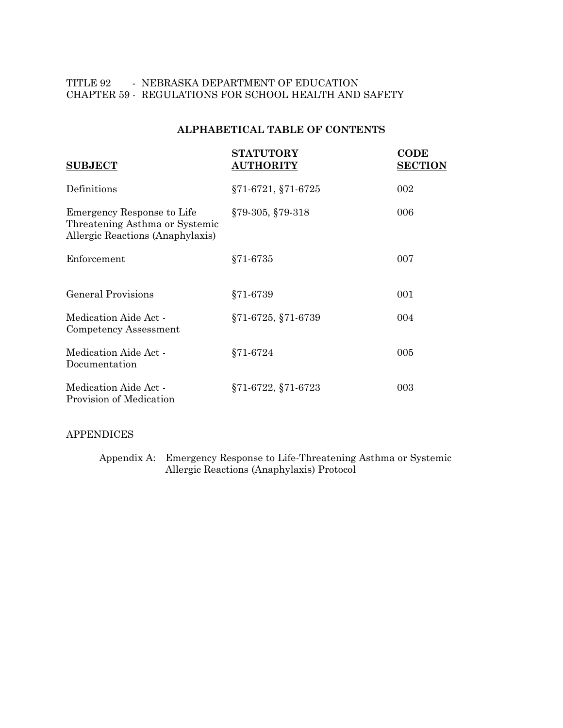# TITLE 92 - NEBRASKA DEPARTMENT OF EDUCATION CHAPTER 59 - REGULATIONS FOR SCHOOL HEALTH AND SAFETY

# **ALPHABETICAL TABLE OF CONTENTS**

| <b>SUBJECT</b>                                                                                   | <b>STATUTORY</b><br><b>AUTHORITY</b> | <b>CODE</b><br><b>SECTION</b> |
|--------------------------------------------------------------------------------------------------|--------------------------------------|-------------------------------|
| Definitions                                                                                      | §71-6721, §71-6725                   | 002                           |
| Emergency Response to Life<br>Threatening Asthma or Systemic<br>Allergic Reactions (Anaphylaxis) | $§79-305, §79-318$                   | 006                           |
| Enforcement                                                                                      | $§71-6735$                           | 007                           |
| <b>General Provisions</b>                                                                        | §71-6739                             | 001                           |
| Medication Aide Act -<br>Competency Assessment                                                   | §71-6725, §71-6739                   | 004                           |
| Medication Aide Act -<br>Documentation                                                           | $§71-6724$                           | 005                           |
| Medication Aide Act -<br>Provision of Medication                                                 | §71-6722, §71-6723                   | 003                           |

#### APPENDICES

Appendix A: Emergency Response to Life-Threatening Asthma or Systemic Allergic Reactions (Anaphylaxis) Protocol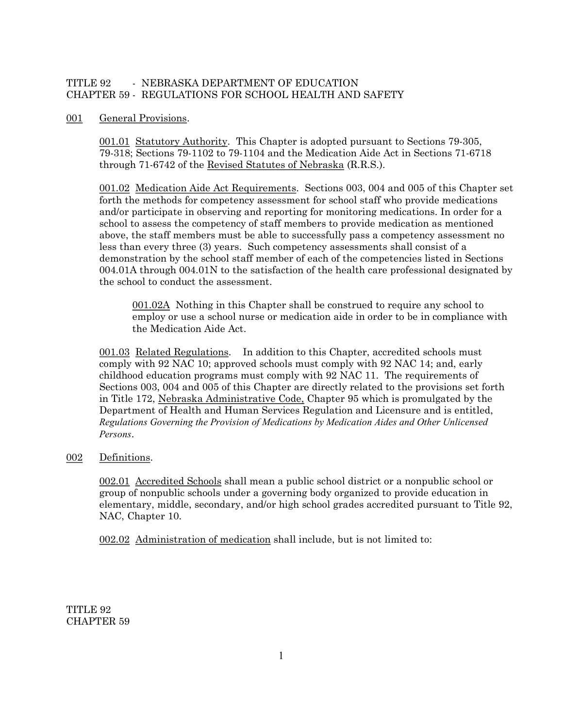# TITLE 92 FOREBRASKA DEPARTMENT OF EDUCATION CHAPTER 59 REGULATIONS FOR SCHOOL HEALTH AND SAFETY

#### 001 General Provisions.

001.01 Statutory Authority. This Chapter is adopted pursuant to Sections 79-305, 79-318; Sections 79-1102 to 79-1104 and the Medication Aide Act in Sections 71-6718 through 71-6742 of the Revised Statutes of Nebraska (R.R.S.).

001.02 Medication Aide Act Requirements. Sections 003, 004 and 005 of this Chapter set forth the methods for competency assessment for school staff who provide medications and/or participate in observing and reporting for monitoring medications. In order for a school to assess the competency of staff members to provide medication as mentioned above, the staff members must be able to successfully pass a competency assessment no less than every three (3) years. Such competency assessments shall consist of a demonstration by the school staff member of each of the competencies listed in Sections 004.01A through 004.01N to the satisfaction of the health care professional designated by the school to conduct the assessment.

001.02A Nothing in this Chapter shall be construed to require any school to employ or use a school nurse or medication aide in order to be in compliance with the Medication Aide Act.

001.03 Related Regulations. In addition to this Chapter, accredited schools must comply with 92 NAC 10; approved schools must comply with 92 NAC 14; and, early childhood education programs must comply with 92 NAC 11. The requirements of Sections 003, 004 and 005 of this Chapter are directly related to the provisions set forth in Title 172, Nebraska Administrative Code, Chapter 95 which is promulgated by the Department of Health and Human Services Regulation and Licensure and is entitled, *Regulations Governing the Provision of Medications by Medication Aides and Other Unlicensed Persons*.

#### 002 Definitions.

002.01 Accredited Schools shall mean a public school district or a nonpublic school or group of nonpublic schools under a governing body organized to provide education in elementary, middle, secondary, and/or high school grades accredited pursuant to Title 92, NAC, Chapter 10.

002.02 Administration of medication shall include, but is not limited to:

TITLE 92 CHAPTER 59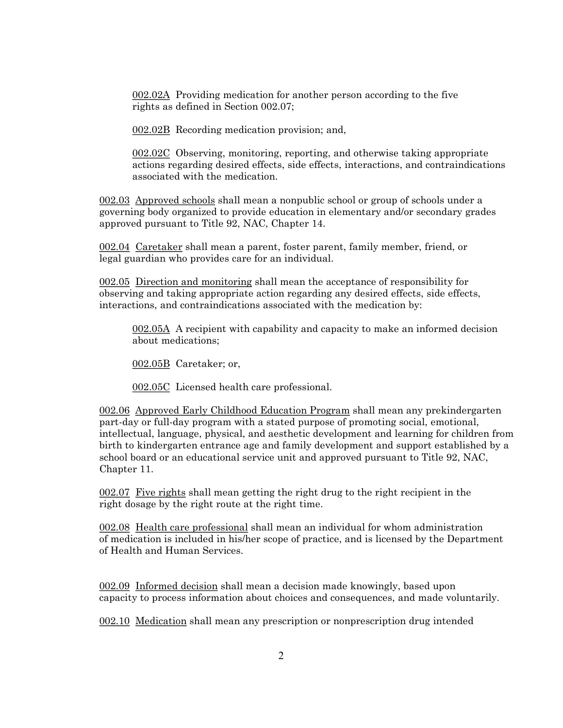002.02A Providing medication for another person according to the five rights as defined in Section 002.07;

002.02B Recording medication provision; and,

002.02C Observing, monitoring, reporting, and otherwise taking appropriate actions regarding desired effects, side effects, interactions, and contraindications associated with the medication.

002.03 Approved schools shall mean a nonpublic school or group of schools under a governing body organized to provide education in elementary and/or secondary grades approved pursuant to Title 92, NAC, Chapter 14.

002.04 Caretaker shall mean a parent, foster parent, family member, friend, or legal guardian who provides care for an individual.

002.05 Direction and monitoring shall mean the acceptance of responsibility for observing and taking appropriate action regarding any desired effects, side effects, interactions, and contraindications associated with the medication by:

002.05A A recipient with capability and capacity to make an informed decision about medications;

002.05B Caretaker; or,

002.05C Licensed health care professional.

002.06 Approved Early Childhood Education Program shall mean any prekindergarten part-day or full-day program with a stated purpose of promoting social, emotional, intellectual, language, physical, and aesthetic development and learning for children from birth to kindergarten entrance age and family development and support established by a school board or an educational service unit and approved pursuant to Title 92, NAC, Chapter 11.

002.07 Five rights shall mean getting the right drug to the right recipient in the right dosage by the right route at the right time.

002.08 Health care professional shall mean an individual for whom administration of medication is included in his/her scope of practice, and is licensed by the Department of Health and Human Services.

002.09 Informed decision shall mean a decision made knowingly, based upon capacity to process information about choices and consequences, and made voluntarily.

002.10 Medication shall mean any prescription or nonprescription drug intended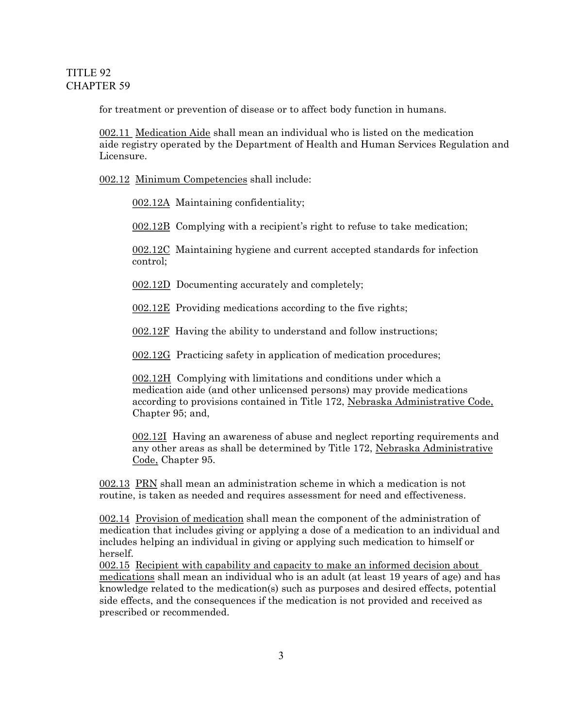for treatment or prevention of disease or to affect body function in humans.

002.11 Medication Aide shall mean an individual who is listed on the medication aide registry operated by the Department of Health and Human Services Regulation and **Licensure** 

002.12 Minimum Competencies shall include:

002.12A Maintaining confidentiality;

002.12B Complying with a recipient's right to refuse to take medication;

002.12C Maintaining hygiene and current accepted standards for infection control;

002.12D Documenting accurately and completely;

002.12E Providing medications according to the five rights;

002.12F Having the ability to understand and follow instructions;

002.12G Practicing safety in application of medication procedures;

002.12H Complying with limitations and conditions under which a medication aide (and other unlicensed persons) may provide medications according to provisions contained in Title 172, Nebraska Administrative Code, Chapter 95; and,

002.12I Having an awareness of abuse and neglect reporting requirements and any other areas as shall be determined by Title 172, Nebraska Administrative Code, Chapter 95.

002.13 PRN shall mean an administration scheme in which a medication is not routine, is taken as needed and requires assessment for need and effectiveness.

002.14 Provision of medication shall mean the component of the administration of medication that includes giving or applying a dose of a medication to an individual and includes helping an individual in giving or applying such medication to himself or herself.

002.15 Recipient with capability and capacity to make an informed decision about medications shall mean an individual who is an adult (at least 19 years of age) and has knowledge related to the medication(s) such as purposes and desired effects, potential side effects, and the consequences if the medication is not provided and received as prescribed or recommended.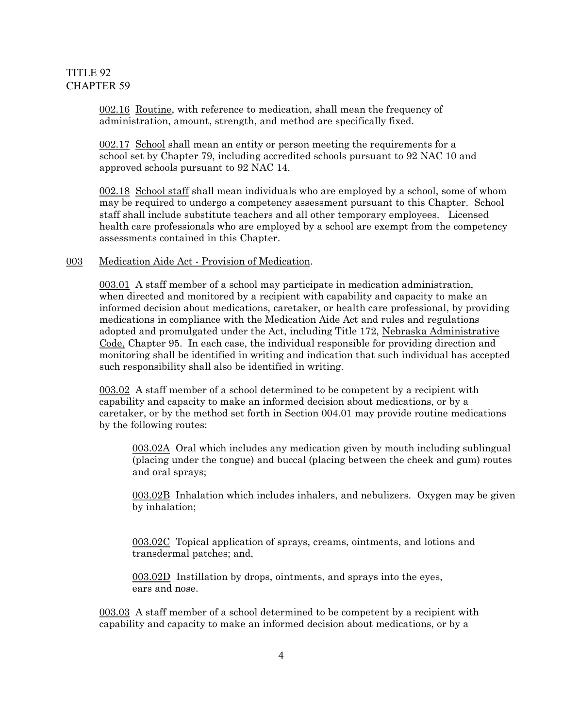002.16 Routine, with reference to medication, shall mean the frequency of administration, amount, strength, and method are specifically fixed.

002.17 School shall mean an entity or person meeting the requirements for a school set by Chapter 79, including accredited schools pursuant to 92 NAC 10 and approved schools pursuant to 92 NAC 14.

002.18 School staff shall mean individuals who are employed by a school, some of whom may be required to undergo a competency assessment pursuant to this Chapter. School staff shall include substitute teachers and all other temporary employees. Licensed health care professionals who are employed by a school are exempt from the competency assessments contained in this Chapter.

#### 003 Medication Aide Act - Provision of Medication.

003.01 A staff member of a school may participate in medication administration, when directed and monitored by a recipient with capability and capacity to make an informed decision about medications, caretaker, or health care professional, by providing medications in compliance with the Medication Aide Act and rules and regulations adopted and promulgated under the Act, including Title 172, Nebraska Administrative Code, Chapter 95. In each case, the individual responsible for providing direction and monitoring shall be identified in writing and indication that such individual has accepted such responsibility shall also be identified in writing.

003.02 A staff member of a school determined to be competent by a recipient with capability and capacity to make an informed decision about medications, or by a caretaker, or by the method set forth in Section 004.01 may provide routine medications by the following routes:

003.02A Oral which includes any medication given by mouth including sublingual (placing under the tongue) and buccal (placing between the cheek and gum) routes and oral sprays;

003.02B Inhalation which includes inhalers, and nebulizers. Oxygen may be given by inhalation;

003.02C Topical application of sprays, creams, ointments, and lotions and transdermal patches; and,

003.02D Instillation by drops, ointments, and sprays into the eyes, ears and nose.

003.03 A staff member of a school determined to be competent by a recipient with capability and capacity to make an informed decision about medications, or by a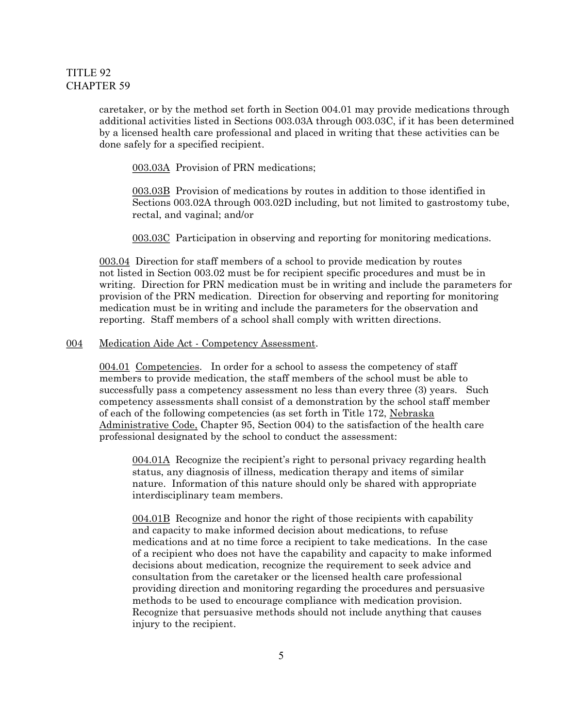caretaker, or by the method set forth in Section 004.01 may provide medications through additional activities listed in Sections 003.03A through 003.03C, if it has been determined by a licensed health care professional and placed in writing that these activities can be done safely for a specified recipient.

003.03A Provision of PRN medications;

003.03B Provision of medications by routes in addition to those identified in Sections 003.02A through 003.02D including, but not limited to gastrostomy tube, rectal, and vaginal; and/or

003.03C Participation in observing and reporting for monitoring medications.

003.04 Direction for staff members of a school to provide medication by routes not listed in Section 003.02 must be for recipient specific procedures and must be in writing. Direction for PRN medication must be in writing and include the parameters for provision of the PRN medication. Direction for observing and reporting for monitoring medication must be in writing and include the parameters for the observation and reporting. Staff members of a school shall comply with written directions.

#### 004 Medication Aide Act - Competency Assessment.

004.01 Competencies. In order for a school to assess the competency of staff members to provide medication, the staff members of the school must be able to successfully pass a competency assessment no less than every three (3) years. Such competency assessments shall consist of a demonstration by the school staff member of each of the following competencies (as set forth in Title 172, Nebraska Administrative Code, Chapter 95, Section 004) to the satisfaction of the health care professional designated by the school to conduct the assessment:

004.01A Recognize the recipient's right to personal privacy regarding health status, any diagnosis of illness, medication therapy and items of similar nature. Information of this nature should only be shared with appropriate interdisciplinary team members.

004.01B Recognize and honor the right of those recipients with capability and capacity to make informed decision about medications, to refuse medications and at no time force a recipient to take medications. In the case of a recipient who does not have the capability and capacity to make informed decisions about medication, recognize the requirement to seek advice and consultation from the caretaker or the licensed health care professional providing direction and monitoring regarding the procedures and persuasive methods to be used to encourage compliance with medication provision. Recognize that persuasive methods should not include anything that causes injury to the recipient.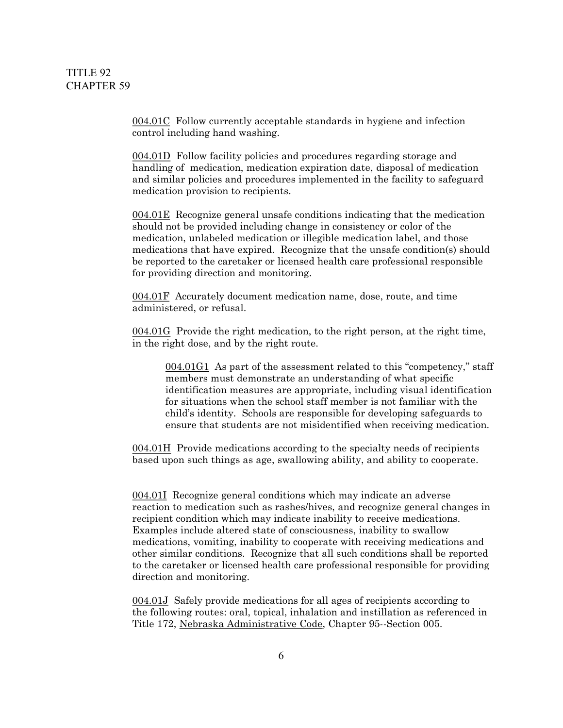004.01C Follow currently acceptable standards in hygiene and infection control including hand washing.

004.01D Follow facility policies and procedures regarding storage and handling of medication, medication expiration date, disposal of medication and similar policies and procedures implemented in the facility to safeguard medication provision to recipients.

004.01E Recognize general unsafe conditions indicating that the medication should not be provided including change in consistency or color of the medication, unlabeled medication or illegible medication label, and those medications that have expired. Recognize that the unsafe condition(s) should be reported to the caretaker or licensed health care professional responsible for providing direction and monitoring.

004.01F Accurately document medication name, dose, route, and time administered, or refusal.

004.01G Provide the right medication, to the right person, at the right time, in the right dose, and by the right route.

004.01G1 As part of the assessment related to this "competency," staff members must demonstrate an understanding of what specific identification measures are appropriate, including visual identification for situations when the school staff member is not familiar with the child's identity. Schools are responsible for developing safeguards to ensure that students are not misidentified when receiving medication.

004.01H Provide medications according to the specialty needs of recipients based upon such things as age, swallowing ability, and ability to cooperate.

004.01I Recognize general conditions which may indicate an adverse reaction to medication such as rashes/hives, and recognize general changes in recipient condition which may indicate inability to receive medications. Examples include altered state of consciousness, inability to swallow medications, vomiting, inability to cooperate with receiving medications and other similar conditions. Recognize that all such conditions shall be reported to the caretaker or licensed health care professional responsible for providing direction and monitoring.

004.01J Safely provide medications for all ages of recipients according to the following routes: oral, topical, inhalation and instillation as referenced in Title 172, Nebraska Administrative Code, Chapter 95--Section 005.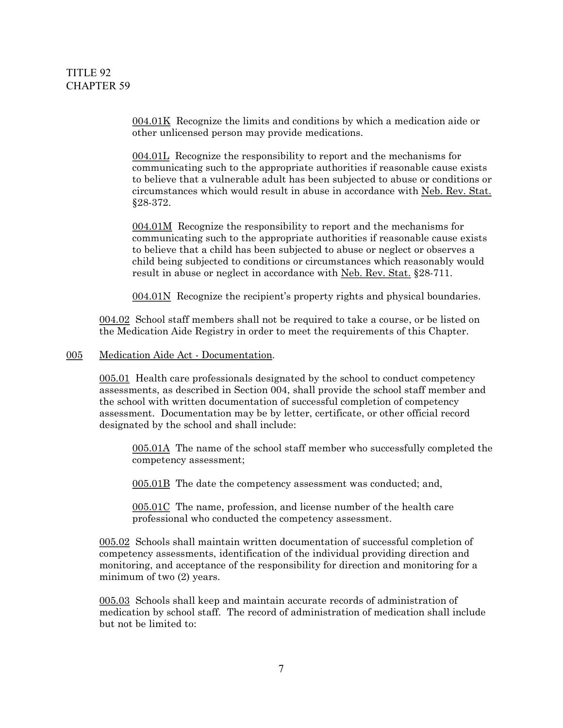004.01K Recognize the limits and conditions by which a medication aide or other unlicensed person may provide medications.

004.01L Recognize the responsibility to report and the mechanisms for communicating such to the appropriate authorities if reasonable cause exists to believe that a vulnerable adult has been subjected to abuse or conditions or circumstances which would result in abuse in accordance with Neb. Rev. Stat. §28372.

004.01M Recognize the responsibility to report and the mechanisms for communicating such to the appropriate authorities if reasonable cause exists to believe that a child has been subjected to abuse or neglect or observes a child being subjected to conditions or circumstances which reasonably would result in abuse or neglect in accordance with Neb. Rev. Stat. §28-711.

004.01N Recognize the recipient's property rights and physical boundaries.

004.02 School staff members shall not be required to take a course, or be listed on the Medication Aide Registry in order to meet the requirements of this Chapter.

#### 005 Medication Aide Act - Documentation.

005.01 Health care professionals designated by the school to conduct competency assessments, as described in Section 004, shall provide the school staff member and the school with written documentation of successful completion of competency assessment. Documentation may be by letter, certificate, or other official record designated by the school and shall include:

005.01A The name of the school staff member who successfully completed the competency assessment;

005.01B The date the competency assessment was conducted; and,

005.01C The name, profession, and license number of the health care professional who conducted the competency assessment.

005.02 Schools shall maintain written documentation of successful completion of competency assessments, identification of the individual providing direction and monitoring, and acceptance of the responsibility for direction and monitoring for a minimum of two (2) years.

005.03 Schools shall keep and maintain accurate records of administration of medication by school staff. The record of administration of medication shall include but not be limited to: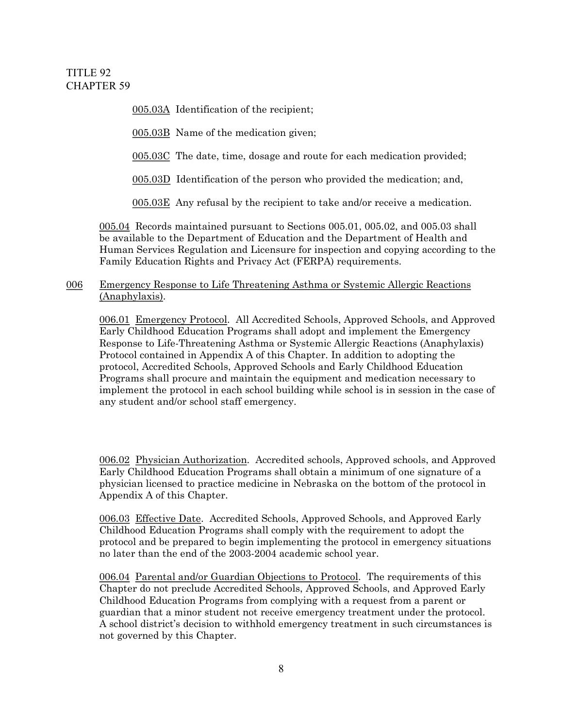005.03A Identification of the recipient;

005.03B Name of the medication given;

005.03C The date, time, dosage and route for each medication provided;

005.03D Identification of the person who provided the medication; and,

005.03E Any refusal by the recipient to take and/or receive a medication.

005.04 Records maintained pursuant to Sections 005.01, 005.02, and 005.03 shall be available to the Department of Education and the Department of Health and Human Services Regulation and Licensure for inspection and copying according to the Family Education Rights and Privacy Act (FERPA) requirements.

## 006 Emergency Response to Life Threatening Asthma or Systemic Allergic Reactions (Anaphylaxis).

006.01 Emergency Protocol. All Accredited Schools, Approved Schools, and Approved Early Childhood Education Programs shall adopt and implement the Emergency Response to Life-Threatening Asthma or Systemic Allergic Reactions (Anaphylaxis) Protocol contained in Appendix A of this Chapter. In addition to adopting the protocol, Accredited Schools, Approved Schools and Early Childhood Education Programs shall procure and maintain the equipment and medication necessary to implement the protocol in each school building while school is in session in the case of any student and/or school staff emergency.

006.02 Physician Authorization. Accredited schools, Approved schools, and Approved Early Childhood Education Programs shall obtain a minimum of one signature of a physician licensed to practice medicine in Nebraska on the bottom of the protocol in Appendix A of this Chapter.

006.03 Effective Date. Accredited Schools, Approved Schools, and Approved Early Childhood Education Programs shall comply with the requirement to adopt the protocol and be prepared to begin implementing the protocol in emergency situations no later than the end of the 2003-2004 academic school year.

006.04 Parental and/or Guardian Objections to Protocol. The requirements of this Chapter do not preclude Accredited Schools, Approved Schools, and Approved Early Childhood Education Programs from complying with a request from a parent or guardian that a minor student not receive emergency treatment under the protocol. A school district's decision to withhold emergency treatment in such circumstances is not governed by this Chapter.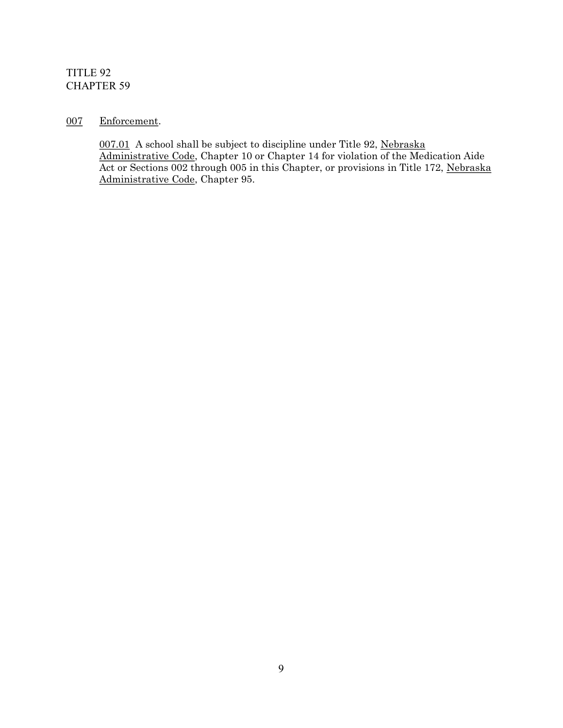# 007 Enforcement.

007.01 A school shall be subject to discipline under Title 92, Nebraska Administrative Code, Chapter 10 or Chapter 14 for violation of the Medication Aide Act or Sections 002 through 005 in this Chapter, or provisions in Title 172, Nebraska Administrative Code, Chapter 95.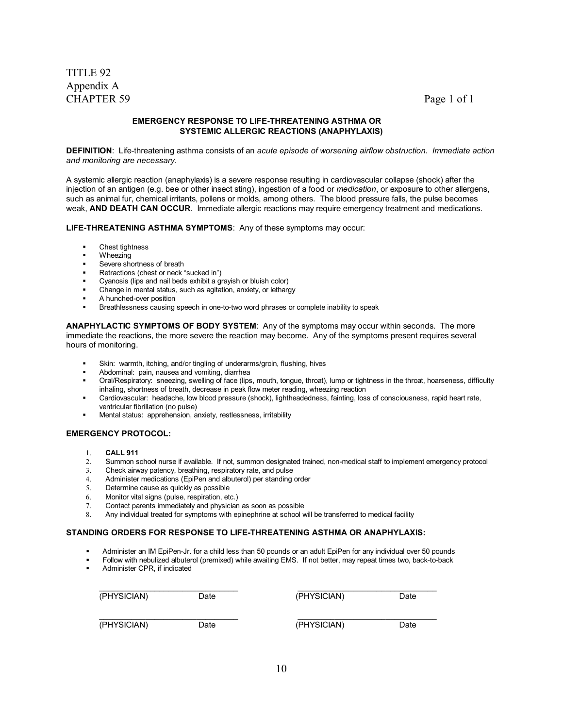#### **EMERGENCY RESPONSE TO LIFETHREATENING ASTHMA OR SYSTEMIC ALLERGIC REACTIONS (ANAPHYLAXIS)**

**DEFINITION**: Life-threatening asthma consists of an acute episode of worsening airflow obstruction. Immediate action *and monitoring are necessary.*

A systemic allergic reaction (anaphylaxis) is a severe response resulting in cardiovascular collapse (shock) after the injection of an antigen (e.g. bee or other insect sting), ingestion of a food or *medication*, or exposure to other allergens, such as animal fur, chemical irritants, pollens or molds, among others. The blood pressure falls, the pulse becomes weak, **AND DEATH CAN OCCUR**. Immediate allergic reactions may require emergency treatment and medications.

LIFE-THREATENING ASTHMA SYMPTOMS: Any of these symptoms may occur:

- Chest tightness
- Wheezing
- ß Severe shortness of breath
- ß Retractions (chest or neck "sucked in")
- ß Cyanosis (lips and nail beds exhibit a grayish or bluish color)
- ß Change in mental status, such as agitation, anxiety, or lethargy
- A hunched-over position
- Breathlessness causing speech in one-to-two word phrases or complete inability to speak

**ANAPHYLACTIC SYMPTOMS OF BODY SYSTEM**: Any of the symptoms may occur within seconds. The more immediate the reactions, the more severe the reaction may become. Any of the symptoms present requires several hours of monitoring.

- ß Skin: warmth, itching, and/or tingling of underarms/groin, flushing, hives
- ß Abdominal: pain, nausea and vomiting, diarrhea
- Oral/Respiratory: sneezing, swelling of face (lips, mouth, tongue, throat), lump or tightness in the throat, hoarseness, difficulty inhaling, shortness of breath, decrease in peak flow meter reading, wheezing reaction
- ß Cardiovascular: headache, low blood pressure (shock), lightheadedness, fainting, loss of consciousness, rapid heart rate, ventricular fibrillation (no pulse)
- ß Mental status: apprehension, anxiety, restlessness, irritability

#### **EMERGENCY PROTOCOL:**

- 1. **CALL 911**
- 2. Summon school nurse if available. If not, summon designated trained, non-medical staff to implement emergency protocol
- 3. Check airway patency, breathing, respiratory rate, and pulse
- 4. Administer medications (EpiPen and albuterol) per standing order
- 5. Determine cause as quickly as possible
- 6. Monitor vital signs (pulse, respiration, etc.)
- 7. Contact parents immediately and physician as soon as possible
- 8. Any individual treated for symptoms with epinephrine at school will be transferred to medical facility

#### **STANDING ORDERS FOR RESPONSE TO LIFETHREATENING ASTHMA OR ANAPHYLAXIS:**

- Administer an IM EpiPen-Jr. for a child less than 50 pounds or an adult EpiPen for any individual over 50 pounds
- Follow with nebulized albuterol (premixed) while awaiting EMS. If not better, may repeat times two, back-to-back
- ß Administer CPR, if indicated

| (PHYSICIAN) | Date | (PHYSICIAN) | Date |  |
|-------------|------|-------------|------|--|
| (PHYSICIAN) | Date | (PHYSICIAN) | Date |  |